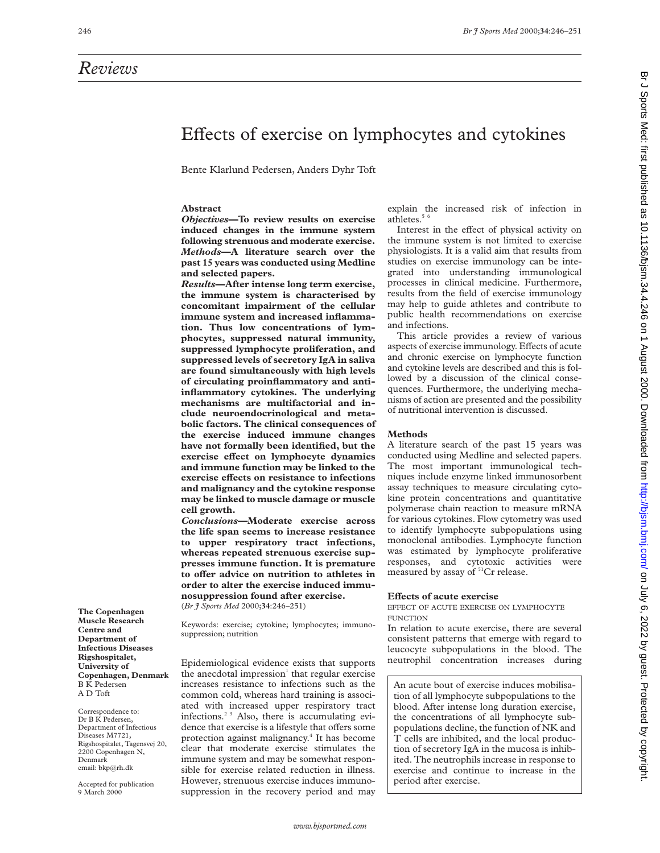# *Reviews*

# Effects of exercise on lymphocytes and cytokines

Bente Klarlund Pedersen, Anders Dyhr Toft

# **Abstract**

*Objectives***—To review results on exercise induced changes in the immune system following strenuous and moderate exercise.** *Methods***—A literature search over the past 15 years was conducted using Medline and selected papers.**

*Results***—After intense long term exercise, the immune system is characterised by concomitant impairment of the cellular immune system and increased inflammation. Thus low concentrations of lymphocytes, suppressed natural immunity, suppressed lymphocyte proliferation, and suppressed levels of secretory IgA in saliva are found simultaneously with high levels of circulating proinflammatory and antiinflammatory cytokines. The underlying mechanisms are multifactorial and include neuroendocrinological and metabolic factors. The clinical consequences of the exercise induced immune changes have not formally been identified, but the exercise** effect on lymphocyte dynamics **and immune function may be linked to the exercise effects on resistance to infections and malignancy and the cytokine response may be linked to muscle damage or muscle cell growth.**

*Conclusions***—Moderate exercise across the life span seems to increase resistance to upper respiratory tract infections, whereas repeated strenuous exercise suppresses immune function. It is premature** to offer advice on nutrition to athletes in **order to alter the exercise induced immunosuppression found after exercise.**

(*Br J Sports Med* 2000;**34**:246–251)

Keywords: exercise; cytokine; lymphocytes; immunosuppression; nutrition

Epidemiological evidence exists that supports the anecdotal impression $<sup>1</sup>$  that regular exercise</sup> increases resistance to infections such as the common cold, whereas hard training is associated with increased upper respiratory tract infections.2 3 Also, there is accumulating evidence that exercise is a lifestyle that offers some protection against malignancy.4 It has become clear that moderate exercise stimulates the immune system and may be somewhat responsible for exercise related reduction in illness. However, strenuous exercise induces immunosuppression in the recovery period and may

explain the increased risk of infection in athletes $5<sup>6</sup>$ 

Interest in the effect of physical activity on the immune system is not limited to exercise physiologists. It is a valid aim that results from studies on exercise immunology can be integrated into understanding immunological processes in clinical medicine. Furthermore, results from the field of exercise immunology may help to guide athletes and contribute to public health recommendations on exercise and infections.

This article provides a review of various aspects of exercise immunology. Effects of acute and chronic exercise on lymphocyte function and cytokine levels are described and this is followed by a discussion of the clinical consequences. Furthermore, the underlying mechanisms of action are presented and the possibility of nutritional intervention is discussed.

### **Methods**

A literature search of the past 15 years was conducted using Medline and selected papers. The most important immunological techniques include enzyme linked immunosorbent assay techniques to measure circulating cytokine protein concentrations and quantitative polymerase chain reaction to measure mRNA for various cytokines. Flow cytometry was used to identify lymphocyte subpopulations using monoclonal antibodies. Lymphocyte function was estimated by lymphocyte proliferative responses, and cytotoxic activities were measured by assay of <sup>51</sup>Cr release.

# **Effects of acute exercise**

EFFECT OF ACUTE EXERCISE ON LYMPHOCYTE **FUNCTION** 

In relation to acute exercise, there are several consistent patterns that emerge with regard to leucocyte subpopulations in the blood. The neutrophil concentration increases during

An acute bout of exercise induces mobilisation of all lymphocyte subpopulations to the blood. After intense long duration exercise, the concentrations of all lymphocyte subpopulations decline, the function of NK and T cells are inhibited, and the local production of secretory IgA in the mucosa is inhibited. The neutrophils increase in response to exercise and continue to increase in the period after exercise.

**The Copenhagen Muscle Research Centre and Department of Infectious Diseases Rigshospitalet, University of Copenhagen, Denmark** B K Pedersen A D Toft

Correspondence to: Dr B K Pedersen, Department of Infectious Diseases M7721, Rigshospitalet, Tagensvej 20, 2200 Copenhagen N, Denmark email: bkp@rh.dk

Accepted for publication 9 March 2000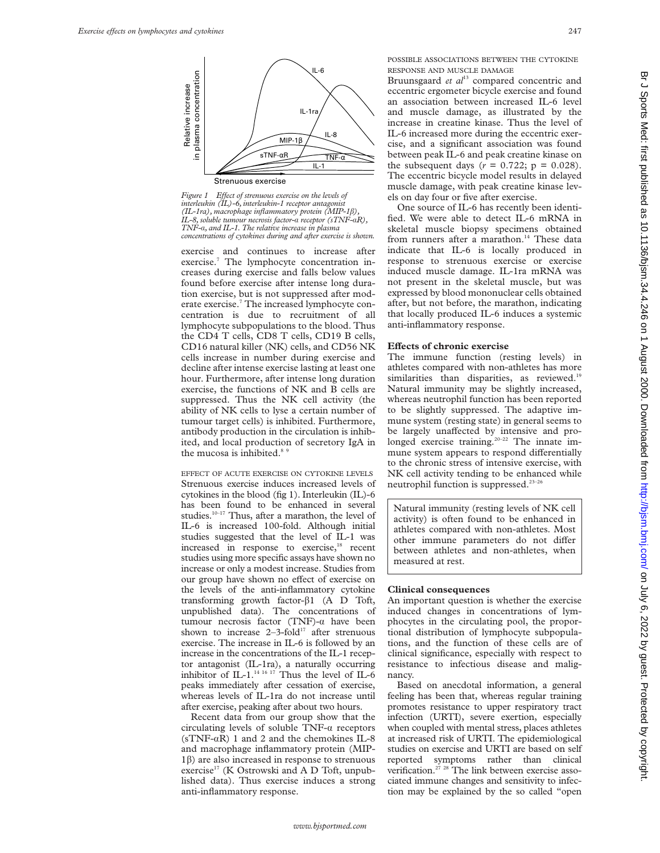

*Figure 1 Effect of strenuous exercise on the levels of interleukin (IL)-6, interleukin-1 receptor antagonist (IL-1ra), macrophage inflammatory protein (MIP-1*â*), IL-8, soluble tumour necrosis factor-*á *receptor (sTNF-*á*R), TNF-*á*, and IL-1. The relative increase in plasma*

exercise and continues to increase after exercise.<sup>7</sup> The lymphocyte concentration increases during exercise and falls below values found before exercise after intense long duration exercise, but is not suppressed after moderate exercise.<sup>7</sup> The increased lymphocyte concentration is due to recruitment of all lymphocyte subpopulations to the blood. Thus the CD4 T cells, CD8 T cells, CD19 B cells, CD16 natural killer (NK) cells, and CD56 NK cells increase in number during exercise and decline after intense exercise lasting at least one hour. Furthermore, after intense long duration exercise, the functions of NK and B cells are suppressed. Thus the NK cell activity (the ability of NK cells to lyse a certain number of tumour target cells) is inhibited. Furthermore, antibody production in the circulation is inhibited, and local production of secretory IgA in the mucosa is inhibited.<sup>8 9</sup>

EFFECT OF ACUTE EXERCISE ON CYTOKINE LEVELS Strenuous exercise induces increased levels of cytokines in the blood (fig 1). Interleukin (IL)-6 has been found to be enhanced in several studies.<sup>10-17</sup> Thus, after a marathon, the level of IL-6 is increased 100-fold. Although initial studies suggested that the level of IL-1 was increased in response to exercise,<sup>18</sup> recent studies using more specific assays have shown no increase or only a modest increase. Studies from our group have shown no effect of exercise on the levels of the anti-inflammatory cytokine transforming growth factor- $\beta$ 1 (A D Toft, unpublished data). The concentrations of tumour necrosis factor (TNF)- $\alpha$  have been shown to increase  $2-3$ -fold<sup>17</sup> after strenuous exercise. The increase in IL-6 is followed by an increase in the concentrations of the IL-1 receptor antagonist (IL-1ra), a naturally occurring inhibitor of IL-1.<sup>14 16 17</sup> Thus the level of IL-6 peaks immediately after cessation of exercise, whereas levels of IL-1ra do not increase until after exercise, peaking after about two hours.

Recent data from our group show that the circulating levels of soluble  $TNF-\alpha$  receptors (sTNF- $\alpha$ R) 1 and 2 and the chemokines IL-8 and macrophage inflammatory protein (MIP-1â) are also increased in response to strenuous exercise<sup>17</sup> (K Ostrowski and A D Toft, unpublished data). Thus exercise induces a strong anti-inflammatory response.

POSSIBLE ASSOCIATIONS BETWEEN THE CYTOKINE RESPONSE AND MUSCLE DAMAGE

Bruunsgaard et al<sup>13</sup> compared concentric and eccentric ergometer bicycle exercise and found an association between increased IL-6 level and muscle damage, as illustrated by the increase in creatine kinase. Thus the level of IL-6 increased more during the eccentric exercise, and a significant association was found between peak IL-6 and peak creatine kinase on the subsequent days ( $r = 0.722$ ;  $p = 0.028$ ). The eccentric bicycle model results in delayed muscle damage, with peak creatine kinase levels on day four or five after exercise.

One source of IL-6 has recently been identified. We were able to detect IL-6 mRNA in skeletal muscle biopsy specimens obtained from runners after a marathon.<sup>14</sup> These data indicate that IL-6 is locally produced in response to strenuous exercise or exercise induced muscle damage. IL-1ra mRNA was not present in the skeletal muscle, but was expressed by blood mononuclear cells obtained after, but not before, the marathon, indicating that locally produced IL-6 induces a systemic anti-inflammatory response.

# **Effects of chronic exercise**

The immune function (resting levels) in athletes compared with non-athletes has more similarities than disparities, as reviewed.<sup>19</sup> Natural immunity may be slightly increased, whereas neutrophil function has been reported to be slightly suppressed. The adaptive immune system (resting state) in general seems to be largely unaffected by intensive and prolonged exercise training.<sup>20-22</sup> The innate immune system appears to respond differentially to the chronic stress of intensive exercise, with NK cell activity tending to be enhanced while neutrophil function is suppressed.23–26

Natural immunity (resting levels of NK cell activity) is often found to be enhanced in athletes compared with non-athletes. Most other immune parameters do not differ between athletes and non-athletes, when measured at rest.

# **Clinical consequences**

An important question is whether the exercise induced changes in concentrations of lymphocytes in the circulating pool, the proportional distribution of lymphocyte subpopulations, and the function of these cells are of clinical significance, especially with respect to resistance to infectious disease and malignancy.

Based on anecdotal information, a general feeling has been that, whereas regular training promotes resistance to upper respiratory tract infection (URTI), severe exertion, especially when coupled with mental stress, places athletes at increased risk of URTI. The epidemiological studies on exercise and URTI are based on self reported symptoms rather than clinical verification.<sup>27</sup> <sup>28</sup> The link between exercise associated immune changes and sensitivity to infection may be explained by the so called "open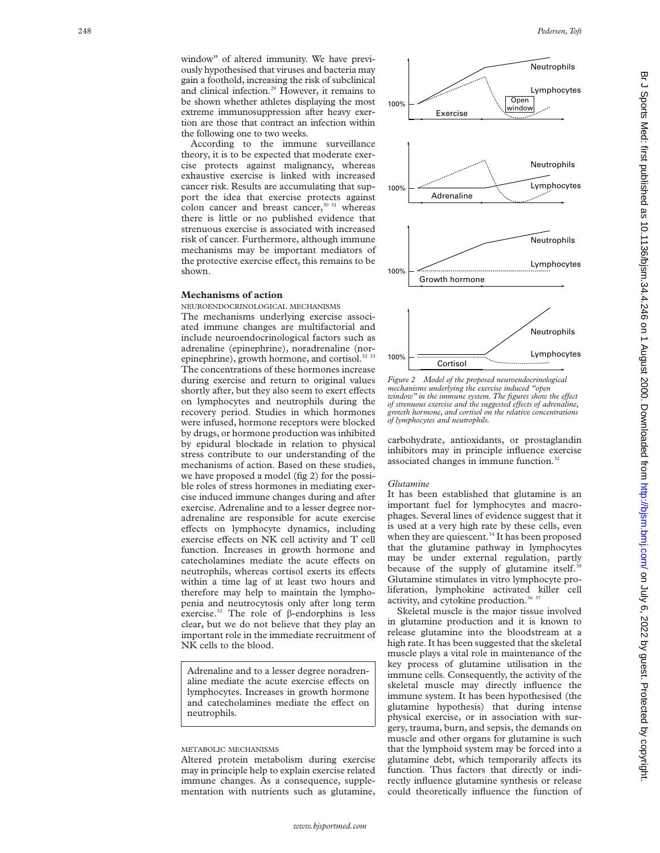window" of altered immunity. We have previously hypothesised that viruses and bacteria may gain a foothold, increasing the risk of subclinical and clinical infection.<sup>29</sup> However, it remains to be shown whether athletes displaying the most extreme immunosuppression after heavy exertion are those that contract an infection within the following one to two weeks.

According to the immune surveillance theory, it is to be expected that moderate exercise protects against malignancy, whereas exhaustive exercise is linked with increased cancer risk. Results are accumulating that support the idea that exercise protects against colon cancer and breast cancer, $30\,31$  whereas there is little or no published evidence that strenuous exercise is associated with increased risk of cancer. Furthermore, although immune mechanisms may be important mediators of the protective exercise effect, this remains to be shown.

# **Mechanisms of action**

NEUROENDOCRINOLOGICAL MECHANISMS The mechanisms underlying exercise associated immune changes are multifactorial and include neuroendocrinological factors such as adrenaline (epinephrine), noradrenaline (norepinephrine), growth hormone, and cortisol.<sup>32</sup><sup>33</sup> The concentrations of these hormones increase during exercise and return to original values shortly after, but they also seem to exert effects on lymphocytes and neutrophils during the recovery period. Studies in which hormones were infused, hormone receptors were blocked by drugs, or hormone production was inhibited by epidural blockade in relation to physical stress contribute to our understanding of the mechanisms of action. Based on these studies, we have proposed a model (fig 2) for the possible roles of stress hormones in mediating exercise induced immune changes during and after exercise. Adrenaline and to a lesser degree noradrenaline are responsible for acute exercise effects on lymphocyte dynamics, including exercise effects on NK cell activity and T cell function. Increases in growth hormone and catecholamines mediate the acute effects on neutrophils, whereas cortisol exerts its effects within a time lag of at least two hours and therefore may help to maintain the lymphopenia and neutrocytosis only after long term exercise.<sup>32</sup> The role of  $\beta$ -endorphins is less clear, but we do not believe that they play an important role in the immediate recruitment of NK cells to the blood.

Adrenaline and to a lesser degree noradrenaline mediate the acute exercise effects on lymphocytes. Increases in growth hormone and catecholamines mediate the effect on neutrophils.

# METABOLIC MECHANISMS

Altered protein metabolism during exercise may in principle help to explain exercise related immune changes. As a consequence, supplementation with nutrients such as glutamine,



*Figure 2 Model of the proposed neuroendocrinological mechanisms underlying the exercise induced "open window" in the immune system. The figures show the effect of strenuous exercise and the suggested effects of adrenaline, growth hormone, and cortisol on the relative concentrations of lymphocytes and neutrophils.*

carbohydrate, antioxidants, or prostaglandin inhibitors may in principle influence exercise associated changes in immune function.<sup>32</sup>

# *Glutamine*

It has been established that glutamine is an important fuel for lymphocytes and macrophages. Several lines of evidence suggest that it is used at a very high rate by these cells, even when they are quiescent.<sup>34</sup> It has been proposed that the glutamine pathway in lymphocytes may be under external regulation, partly because of the supply of glutamine itself.<sup>3</sup> Glutamine stimulates in vitro lymphocyte proliferation, lymphokine activated killer cell activity, and cytokine production.<sup>36</sup> 37

Skeletal muscle is the major tissue involved in glutamine production and it is known to release glutamine into the bloodstream at a high rate. It has been suggested that the skeletal muscle plays a vital role in maintenance of the key process of glutamine utilisation in the immune cells. Consequently, the activity of the skeletal muscle may directly influence the immune system. It has been hypothesised (the glutamine hypothesis) that during intense physical exercise, or in association with surgery, trauma, burn, and sepsis, the demands on muscle and other organs for glutamine is such that the lymphoid system may be forced into a glutamine debt, which temporarily affects its function. Thus factors that directly or indirectly influence glutamine synthesis or release could theoretically influence the function of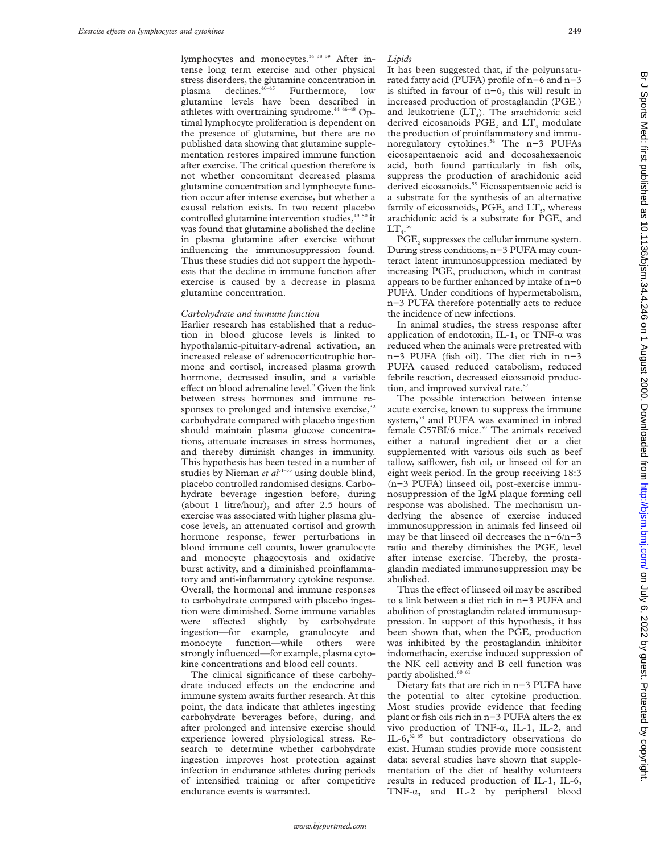lymphocytes and monocytes.<sup>34 38 39</sup> After intense long term exercise and other physical stress disorders, the glutamine concentration in plasma declines.<sup>40-45</sup> Furthermore, low glutamine levels have been described in athletes with overtraining syndrome.<sup>44 46-48</sup> Optimal lymphocyte proliferation is dependent on the presence of glutamine, but there are no published data showing that glutamine supplementation restores impaired immune function after exercise. The critical question therefore is not whether concomitant decreased plasma glutamine concentration and lymphocyte function occur after intense exercise, but whether a causal relation exists. In two recent placebo controlled glutamine intervention studies, $49\frac{50}{11}$  it was found that glutamine abolished the decline in plasma glutamine after exercise without influencing the immunosuppression found. Thus these studies did not support the hypothesis that the decline in immune function after exercise is caused by a decrease in plasma glutamine concentration.

# *Carbohydrate and immune function*

Earlier research has established that a reduction in blood glucose levels is linked to hypothalamic-pituitary-adrenal activation, an increased release of adrenocorticotrophic hormone and cortisol, increased plasma growth hormone, decreased insulin, and a variable effect on blood adrenaline level. $<sup>2</sup>$  Given the link</sup> between stress hormones and immune responses to prolonged and intensive exercise, $3$ carbohydrate compared with placebo ingestion should maintain plasma glucose concentrations, attenuate increases in stress hormones, and thereby diminish changes in immunity. This hypothesis has been tested in a number of studies by Nieman et al<sup>51-53</sup> using double blind, placebo controlled randomised designs. Carbohydrate beverage ingestion before, during (about 1 litre/hour), and after 2.5 hours of exercise was associated with higher plasma glucose levels, an attenuated cortisol and growth hormone response, fewer perturbations in blood immune cell counts, lower granulocyte and monocyte phagocytosis and oxidative burst activity, and a diminished proinflammatory and anti-inflammatory cytokine response. Overall, the hormonal and immune responses to carbohydrate compared with placebo ingestion were diminished. Some immune variables were affected slightly by carbohydrate ingestion—for example, granulocyte and monocyte function—while others were strongly influenced—for example, plasma cytokine concentrations and blood cell counts.

The clinical significance of these carbohydrate induced effects on the endocrine and immune system awaits further research. At this point, the data indicate that athletes ingesting carbohydrate beverages before, during, and after prolonged and intensive exercise should experience lowered physiological stress. Research to determine whether carbohydrate ingestion improves host protection against infection in endurance athletes during periods of intensified training or after competitive endurance events is warranted.

It has been suggested that, if the polyunsaturated fatty acid (PUFA) profile of n−6 and n−3 is shifted in favour of n−6, this will result in increased production of prostaglandin  $(PGE<sub>2</sub>)$ and leukotriene  $(LT<sub>4</sub>)$ . The arachidonic acid derived eicosanoids  $PGE_2$  and  $LT_4$  modulate the production of proinflammatory and immunoregulatory cytokines.54 The n−3 PUFAs eicosapentaenoic acid and docosahexaenoic acid, both found particularly in fish oils, suppress the production of arachidonic acid derived eicosanoids.<sup>55</sup> Eicosapentaenoic acid is a substrate for the synthesis of an alternative family of eicosanoids,  $PGE_3$  and  $LT_5$ , whereas arachidonic acid is a substrate for PGE<sub>2</sub> and  $\mathop{\rm LT}\nolimits_4.^{56}$ 

 $PGE<sub>2</sub>$  suppresses the cellular immune system. During stress conditions, n−3 PUFA may counteract latent immunosuppression mediated by increasing PGE<sub>2</sub> production, which in contrast appears to be further enhanced by intake of n−6 PUFA. Under conditions of hypermetabolism, n−3 PUFA therefore potentially acts to reduce the incidence of new infections.

In animal studies, the stress response after application of endotoxin, IL-1, or TNF- $\alpha$  was reduced when the animals were pretreated with n−3 PUFA (fish oil). The diet rich in n−3 PUFA caused reduced catabolism, reduced febrile reaction, decreased eicosanoid production, and improved survival rate.<sup>57</sup>

The possible interaction between intense acute exercise, known to suppress the immune system,58 and PUFA was examined in inbred female C57BI/6 mice.<sup>59</sup> The animals received either a natural ingredient diet or a diet supplemented with various oils such as beef tallow, safflower, fish oil, or linseed oil for an eight week period. In the group receiving 18:3 (n−3 PUFA) linseed oil, post-exercise immunosuppression of the IgM plaque forming cell response was abolished. The mechanism underlying the absence of exercise induced immunosuppression in animals fed linseed oil may be that linseed oil decreases the n−6/n−3 ratio and thereby diminishes the PGE, level after intense exercise. Thereby, the prostaglandin mediated immunosuppression may be abolished.

Thus the effect of linseed oil may be ascribed to a link between a diet rich in n−3 PUFA and abolition of prostaglandin related immunosuppression. In support of this hypothesis, it has been shown that, when the PGE<sub>2</sub> production was inhibited by the prostaglandin inhibitor indomethacin, exercise induced suppression of the NK cell activity and B cell function was partly abolished.<sup>60 61</sup>

Dietary fats that are rich in n−3 PUFA have the potential to alter cytokine production. Most studies provide evidence that feeding plant or fish oils rich in n−3 PUFA alters the ex vivo production of TNF- $\alpha$ , IL-1, IL-2, and IL-6, $\frac{62-65}{ }$  but contradictory observations do exist. Human studies provide more consistent data: several studies have shown that supplementation of the diet of healthy volunteers results in reduced production of IL-1, IL-6, TNF-á, and IL-2 by peripheral blood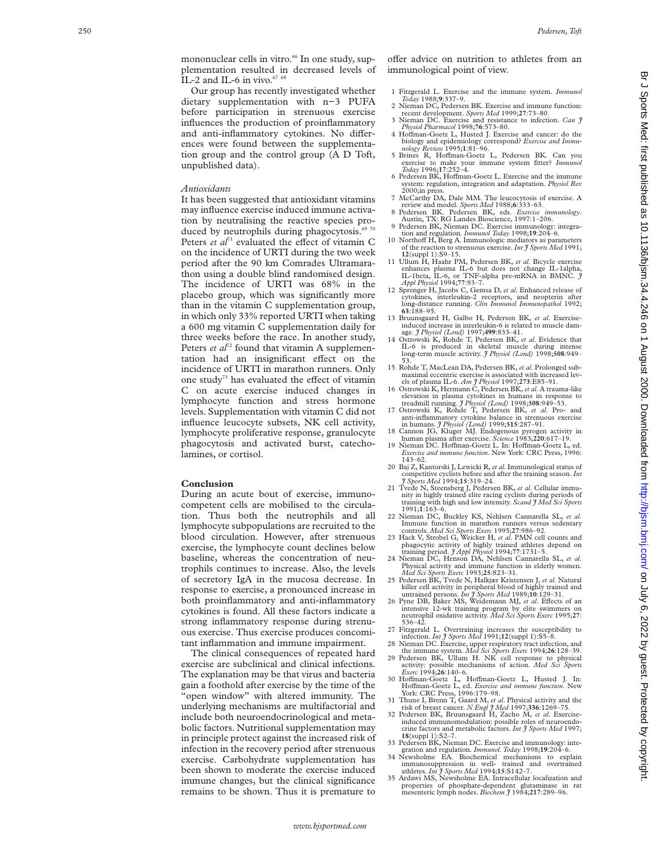mononuclear cells in vitro.<sup>66</sup> In one study, supplementation resulted in decreased levels of IL-2 and IL-6 in vivo. $67$ 

Our group has recently investigated whether dietary supplementation with n−3 PUFA before participation in strenuous exercise influences the production of proinflammatory and anti-inflammatory cytokines. No differences were found between the supplementation group and the control group (A D Toft, unpublished data).

#### *Antioxidants*

It has been suggested that antioxidant vitamins may influence exercise induced immune activation by neutralising the reactive species produced by neutrophils during phagocytosis.<sup>69 70</sup> Peters et al<sup>71</sup> evaluated the effect of vitamin C on the incidence of URTI during the two week period after the 90 km Comrades Ultramarathon using a double blind randomised design. The incidence of URTI was 68% in the placebo group, which was significantly more than in the vitamin C supplementation group, in which only 33% reported URTI when taking a 600 mg vitamin C supplementation daily for three weeks before the race. In another study, Peters *et al*<sup>72</sup> found that vitamin A supplementation had an insignificant effect on the incidence of URTI in marathon runners. Only one study<sup>73</sup> has evaluated the effect of vitamin C on acute exercise induced changes in lymphocyte function and stress hormone levels. Supplementation with vitamin C did not influence leucocyte subsets, NK cell activity, lymphocyte proliferative response, granulocyte phagocytosis and activated burst, catecholamines, or cortisol.

## **Conclusion**

During an acute bout of exercise, immunocompetent cells are mobilised to the circulation. Thus both the neutrophils and all lymphocyte subpopulations are recruited to the blood circulation. However, after strenuous exercise, the lymphocyte count declines below baseline, whereas the concentration of neutrophils continues to increase. Also, the levels of secretory IgA in the mucosa decrease. In response to exercise, a pronounced increase in both proinflammatory and anti-inflammatory cytokines is found. All these factors indicate a strong inflammatory response during strenuous exercise. Thus exercise produces concomitant inflammation and immune impairment.

The clinical consequences of repeated hard exercise are subclinical and clinical infections. The explanation may be that virus and bacteria gain a foothold after exercise by the time of the "open window" with altered immunity. The underlying mechanisms are multifactorial and include both neuroendocrinological and metabolic factors. Nutritional supplementation may in principle protect against the increased risk of infection in the recovery period after strenuous exercise. Carbohydrate supplementation has been shown to moderate the exercise induced immune changes, but the clinical significance remains to be shown. Thus it is premature to

o Ver advice on nutrition to athletes from an immunological point of view.

- 1 Fitzgerald L. Exercise and the immune system. *Immunol Today* 1988;
- **<sup>9</sup>**:337–9. 2 Nieman DC, Pedersen BK. Exercise and immune function: recent development. *Sports Med* 1999;**27**:73–80.
- 3 Nieman DC. Exercise and resistance to infection. *Can J Physiol Pharmacol* 1998;**76**:573–80. 4 Ho Vman-Goetz L, Husted J. Exercise and cancer: do the
- biology and epidemiology correspond? *Exercise and Immu-*<br> *nology Review* 1995;1:81–96.<br>
5 Brines R, Hoffman-Goetz L, Pedersen BK. Can you
- exercise to make your immune system fitter? *Immunol Today* 1996;**17**:252–4.
- 6 Pedersen BK, Hoffman-Goetz L. Exercise and the immune system: regulation, integration and adaptation. *Physiol Rev* 2000;in press.
- 7 McCarthy DA, Dale MM. The leucocytosis of exercise. A review and model. *Sports Med* 1988; **6**:333–63. immunology
- 8 Pedersen BK. Pedersen BK, eds. *Exercise immunology* Austin, TX: RG Landes Bioscience, 1997:1–206.
- 9 Pedersen BK, Nieman DC. Exercise immunology: integra-tion and regulation. *Immunol Today* 1998;**19**:204–6. 10 Northo<sup>V</sup> H, Berg A. Immunologic mediators as parameters Northoff H, Berg A. Immunologic mediators as parameters of the reaction to strenuous exercise. *Int J Sports Med* 1991;
- **12**(suppl 1):S9–15. 11 Ullum H, Haahr PM, Pedersen BK, *et al*. Bicycle exercise
- enhances plasma IL-6 but does not change IL-1alpha, IL-1beta, IL-6, or TNF-alpha pre-mRNA in BMNC. *J Appl Physiol* 1994;**77**:93–7.
- 12 Sprenger H, Jacobs C, Gemsa D, *et al*. Enhanced release of cytokines, interleukin-2 receptors, and neopterin after long-distance running. *Clin Immunol Immunopathol* 1992; **63**:188–95.
- 13 Bruunsgaard H, Galbo H, Pedersen BK, *et al*. Exerciseinduced increase in interleukin-6 is related to muscle dam-<br>age.  $\frac{g}{f}$  Physiol (Lond) 1997;499:833-41.
- 14 Ostrowski K, Rohde T, Pedersen BK, *et al.* Evidence that IL-6 is produced in skeletal muscle during long-term muscle activity. *J Physiol (Lond)* 1998;508:949-
- 15 Rohde T, MacLean DA, Pedersen BK, *et al*. Prolonged submaximal eccentric exercise is associated with increased lev-
- els of plasma IL-6. *Am J Physiol* 1997;**273**:E85–91. 16 Ostrowski K, Hermann C, Pedersen BK, *et al*. A trauma-like elevation in plasma cytokines in humans in response to
- treadmill running. *J Physiol (Lond)* 1998;508:949–53.<br>17 Ostrowski K, Rohde T, Pedersen BK, *et al.* Pro- and<br>anti-inflammatory cytokine balance in strenuous exercise
- in humans. *J Hysion (Londy 1977-)*, J *A Cannon JG*, Kluger MJ. Endogenous pyrogen activity in human plasma after exercise. *Science* 1983;220:617–19.
- human plasma after exercise. *Science* 1983;**220**:617–19. 19 Nieman DC. HoVman-Goetz L. In: HoVman-Goetz L, ed. *Exercise and immune function*. New York: CRC Press, 1996:  $143-62.$
- 20 Baj Z, Kantorski J, Lewicki R, *et al*. Immunological status of competitive cyclists before and after the training season. *Int J Sports Med* 1994;**15**:319–24.
- 21 Tvede N, Steensberg J, Pedersen BK, *et al*. Cellular immunity in highly trained elite racing cyclists during periods of training with high and low intensity. *Scand J Med Sci Sports* 1991; **1**:163–6.
- 22 Nieman DC, Buckley KS, Nehlsen Cannarella SL, *et al* . Immune function in marathon runners versus sedentary
- controls. *Med Sci Sports Exerc* 1995;27:986-92.<br>23 Hack V, Strobel G, Weicker H, *et al.* PMN cell counts and<br>phagocytic activity of highly trained athletes depend on<br>training period. *J Appl Physiol* 1994;77:1731-5.
- 24 Nieman DC, Henson DA, Nehlsen Cannarella SL, *et al* Vieman DC, Henson DA, Nehlsen Cannarella SL, et al.<br>Physical activity and immune function in elderly women.<br>*Med Sci Sports Exerc* 1993;25:823-31.
- 25 Pedersen BK, Tvede N, Halkjær Kristensen J, *et al*. Natural
- killer cell activity in peripheral blood of highly trained and<br>untrained persons. *Int J Sports Med* 1989;10:129–31.<br>26 Pyne DB, Baker MS, Weidemann MJ, *et al.* Effects of an<br>intensive 12-wk training program by elite swi neutrophil oxidative activity. *Med Sci Sports Exerc* 1995;**27** : 536–42.
- 27 Fitzgerald L. Overtraining increases the susceptibility to infection. *Int J Sports Med* 1991;12(suppl 1):S5
- 28 Nieman DC. Exercise, upper respiratory tract infection, and the immune system. *Med Sci Sports Exerc* 1994;**26**:128–39. 29 Pedersen BK, Ullum H. NK cell response to physical
- activity: possible mechanisms of action. *Med Sci Sports Exerc* 1994;**26**:140–6.
- 30 Ho Vman-Goetz L, Ho Vman-Goetz L, Husted J. In: Ho Vman-Goetz L, ed. *Exercise and immune function*. New York: CRC Press, 1996:179–98.
- 31 Thune I, Brenn T, Gaard M, *et al*. Physical activity and the risk of breast cancer. *N Engl J Med* 1997;**336**:1269–75.
- 32 Pedersen BK, Bruunsgaard H, Zacho M, *et al*. Exercise-induced immunomodulation: possible roles of neuroendocrine factors and metabolic factors. *Int J Sports Med* 1997; **18**(suppl 1):S2–7.
- 33 Pedersen BK, Nieman DC. Exercise and immunology: inte-gration and regulation. *Immunol. Today* 1998;**19**:204–6.
- 34 Newsholme EA. Biochemical mechanisms to explain immunosuppression in well- trained and overtrained<br>athletes. *Int J Sports Med* 1994;15:S142–7.<br>35 Ardawi MS, Newsholme EA. Intracellular localization and
- properties of phosphate-dependent glutaminase in rat mesenteric lymph nodes. *Biochem J* 1984;**217**:289–96.